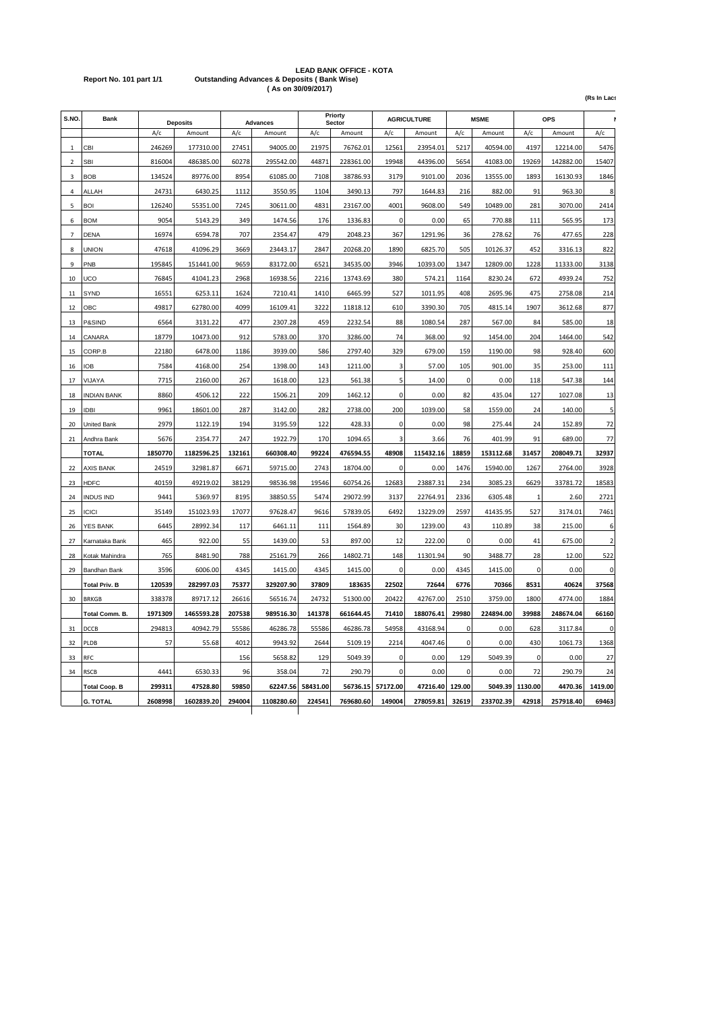# **LEAD BANK OFFICE - KOTA Report No. 101 part 1/1 Outstanding Advances & Deposits ( Bank Wise) ( As on 30/09/2017)**

**(Rs In Lacs)**

| S.NO.                    | <b>Bank</b>          | <b>Deposits</b> |            | Advances |            | Priorty<br>Sector |           | <b>AGRICULTURE</b> |           | <b>MSME</b> |           | <b>OPS</b>  |           |                          |
|--------------------------|----------------------|-----------------|------------|----------|------------|-------------------|-----------|--------------------|-----------|-------------|-----------|-------------|-----------|--------------------------|
|                          |                      | A/c             | Amount     | A/c      | Amount     | A/c               | Amount    | A/c                | Amount    | A/c         | Amount    | A/c         | Amount    | A/c                      |
| $\mathbf{1}$             | CBI                  | 246269          | 177310.00  | 27451    | 94005.00   | 21975             | 76762.01  | 12561              | 23954.01  | 5217        | 40594.00  | 4197        | 12214.00  | 5476                     |
| $\overline{\phantom{a}}$ | <b>SBI</b>           | 816004          | 486385.00  | 60278    | 295542.00  | 44871             | 228361.00 | 19948              | 44396.00  | 5654        | 41083.00  | 19269       | 142882.00 | 15407                    |
| $\overline{3}$           | <b>BOB</b>           | 134524          | 89776.00   | 8954     | 61085.00   | 7108              | 38786.93  | 3179               | 9101.00   | 2036        | 13555.00  | 1893        | 16130.93  | 1846                     |
| $\overline{4}$           | ALLAH                | 24731           | 6430.25    | 1112     | 3550.95    | 1104              | 3490.13   | 797                | 1644.83   | 216         | 882.00    | 91          | 963.30    | 8                        |
| 5                        | <b>BOI</b>           | 126240          | 55351.00   | 7245     | 30611.00   | 4831              | 23167.00  | 4001               | 9608.00   | 549         | 10489.00  | 281         | 3070.00   | 2414                     |
| 6                        | <b>BOM</b>           | 9054            | 5143.29    | 349      | 1474.56    | 176               | 1336.83   | $\mathbf 0$        | 0.00      | 65          | 770.88    | 111         | 565.95    | 173                      |
| $\overline{7}$           | <b>DENA</b>          | 16974           | 6594.78    | 707      | 2354.47    | 479               | 2048.23   | 367                | 1291.96   | 36          | 278.62    | 76          | 477.65    | 228                      |
| 8                        | UNION                | 47618           | 41096.29   | 3669     | 23443.17   | 2847              | 20268.20  | 1890               | 6825.70   | 505         | 10126.37  | 452         | 3316.13   | 822                      |
| 9                        | PNB                  | 195845          | 151441.00  | 9659     | 83172.00   | 6521              | 34535.00  | 3946               | 10393.00  | 1347        | 12809.00  | 1228        | 11333.00  | 3138                     |
| 10                       | UCO                  | 76845           | 41041.23   | 2968     | 16938.56   | 2216              | 13743.69  | 380                | 574.21    | 1164        | 8230.24   | 672         | 4939.24   | 752                      |
| 11                       | SYND                 | 16551           | 6253.11    | 1624     | 7210.41    | 1410              | 6465.99   | 527                | 1011.95   | 408         | 2695.96   | 475         | 2758.08   | 214                      |
| 12                       | OBC                  | 49817           | 62780.00   | 4099     | 16109.41   | 3222              | 11818.12  | 610                | 3390.30   | 705         | 4815.14   | 1907        | 3612.68   | 877                      |
| 13                       | P&SIND               | 6564            | 3131.22    | 477      | 2307.28    | 459               | 2232.54   | 88                 | 1080.54   | 287         | 567.00    | 84          | 585.00    | 18                       |
| 14                       | CANARA               | 18779           | 10473.00   | 912      | 5783.00    | 370               | 3286.00   | 74                 | 368.00    | 92          | 1454.00   | 204         | 1464.00   | 542                      |
| 15                       | CORP.B               | 22180           | 6478.00    | 1186     | 3939.00    | 586               | 2797.40   | 329                | 679.00    | 159         | 1190.00   | 98          | 928.40    | 600                      |
| 16                       | <b>IOB</b>           | 7584            | 4168.00    | 254      | 1398.00    | 143               | 1211.00   | 3                  | 57.00     | 105         | 901.00    | 35          | 253.00    | 111                      |
| 17                       | VIJAYA               | 7715            | 2160.00    | 267      | 1618.00    | 123               | 561.38    | 5                  | 14.00     | $\mathbf 0$ | 0.00      | 118         | 547.38    | 144                      |
| 18                       | <b>INDIAN BANK</b>   | 8860            | 4506.12    | 222      | 1506.21    | 209               | 1462.12   | $\Omega$           | 0.00      | 82          | 435.04    | 127         | 1027.08   | 13                       |
| 19                       | <b>IDBI</b>          | 9961            | 18601.00   | 287      | 3142.00    | 282               | 2738.00   | 200                | 1039.00   | 58          | 1559.00   | 24          | 140.00    | 5                        |
| 20                       | United Bank          | 2979            | 1122.19    | 194      | 3195.59    | 122               | 428.33    | 0                  | 0.00      | 98          | 275.44    | 24          | 152.89    | 72                       |
| 21                       | Andhra Bank          | 5676            | 2354.77    | 247      | 1922.79    | 170               | 1094.65   | 3                  | 3.66      | 76          | 401.99    | 91          | 689.00    | 77                       |
|                          | <b>TOTAL</b>         | 1850770         | 1182596.25 | 132161   | 660308.40  | 99224             | 476594.55 | 48908              | 115432.16 | 18859       | 153112.68 | 31457       | 208049.71 | 32937                    |
| 22                       | AXIS BANK            | 24519           | 32981.87   | 6671     | 59715.00   | 2743              | 18704.00  | $\Omega$           | 0.00      | 1476        | 15940.00  | 1267        | 2764.00   | 3928                     |
| 23                       | <b>HDFC</b>          | 40159           | 49219.02   | 38129    | 98536.98   | 19546             | 60754.26  | 12683              | 23887.31  | 234         | 3085.23   | 6629        | 33781.72  | 18583                    |
| 24                       | <b>INDUS IND</b>     | 9441            | 5369.97    | 8195     | 38850.55   | 5474              | 29072.99  | 3137               | 22764.91  | 2336        | 6305.48   | 1           | 2.60      | 2721                     |
| 25                       | <b>ICICI</b>         | 35149           | 151023.93  | 17077    | 97628.47   | 9616              | 57839.05  | 6492               | 13229.09  | 2597        | 41435.95  | 527         | 3174.01   | 7461                     |
| 26                       | YES BANK             | 6445            | 28992.34   | 117      | 6461.11    | 111               | 1564.89   | 30                 | 1239.00   | 43          | 110.89    | 38          | 215.00    | 6                        |
| 27                       | Karnataka Bank       | 465             | 922.00     | 55       | 1439.00    | 53                | 897.00    | 12                 | 222.00    | $\mathbf 0$ | 0.00      | 41          | 675.00    | $\overline{\phantom{a}}$ |
| 28                       | Kotak Mahindra       | 765             | 8481.90    | 788      | 25161.79   | 266               | 14802.71  | 148                | 11301.94  | 90          | 3488.77   | 28          | 12.00     | 522                      |
| 29                       | Bandhan Bank         | 3596            | 6006.00    | 4345     | 1415.00    | 4345              | 1415.00   | 0                  | 0.00      | 4345        | 1415.00   | $\mathbf 0$ | 0.00      | $\mathbf 0$              |
|                          | <b>Total Priv. B</b> | 120539          | 282997.03  | 75377    | 329207.90  | 37809             | 183635    | 22502              | 72644     | 6776        | 70366     | 8531        | 40624     | 37568                    |
| 30                       | <b>BRKGB</b>         | 338378          | 89717.12   | 26616    | 56516.74   | 24732             | 51300.00  | 20422              | 42767.00  | 2510        | 3759.00   | 1800        | 4774.00   | 1884                     |
|                          | Total Comm. B.       | 1971309         | 1465593.28 | 207538   | 989516.30  | 141378            | 661644.45 | 71410              | 188076.41 | 29980       | 224894.00 | 39988       | 248674.04 | 66160                    |
| 31                       | DCCB                 | 294813          | 40942.79   | 55586    | 46286.78   | 55586             | 46286.78  | 54958              | 43168.94  | 0           | 0.00      | 628         | 3117.84   | 0                        |
| 32                       | PLDB                 | 57              | 55.68      | 4012     | 9943.92    | 2644              | 5109.19   | 2214               | 4047.46   | $\pmb{0}$   | 0.00      | 430         | 1061.73   | 1368                     |
| 33                       | RFC                  |                 |            | 156      | 5658.82    | 129               | 5049.39   | 0                  | 0.00      | 129         | 5049.39   | $\Omega$    | 0.00      | 27                       |
| 34                       | <b>RSCB</b>          | 4441            | 6530.33    | 96       | 358.04     | 72                | 290.79    | 0                  | 0.00      | $\Omega$    | 0.00      | 72          | 290.79    | 24                       |
|                          | <b>Total Coop. B</b> | 299311          | 47528.80   | 59850    | 62247.56   | 58431.00          | 56736.15  | 57172.00           | 47216.40  | 129.00      | 5049.39   | 1130.00     | 4470.36   | 1419.00                  |
|                          | <b>G. TOTAL</b>      | 2608998         | 1602839.20 | 294004   | 1108280.60 | 224541            | 769680.60 | 149004             | 278059.81 | 32619       | 233702.39 | 42918       | 257918.40 | 69463                    |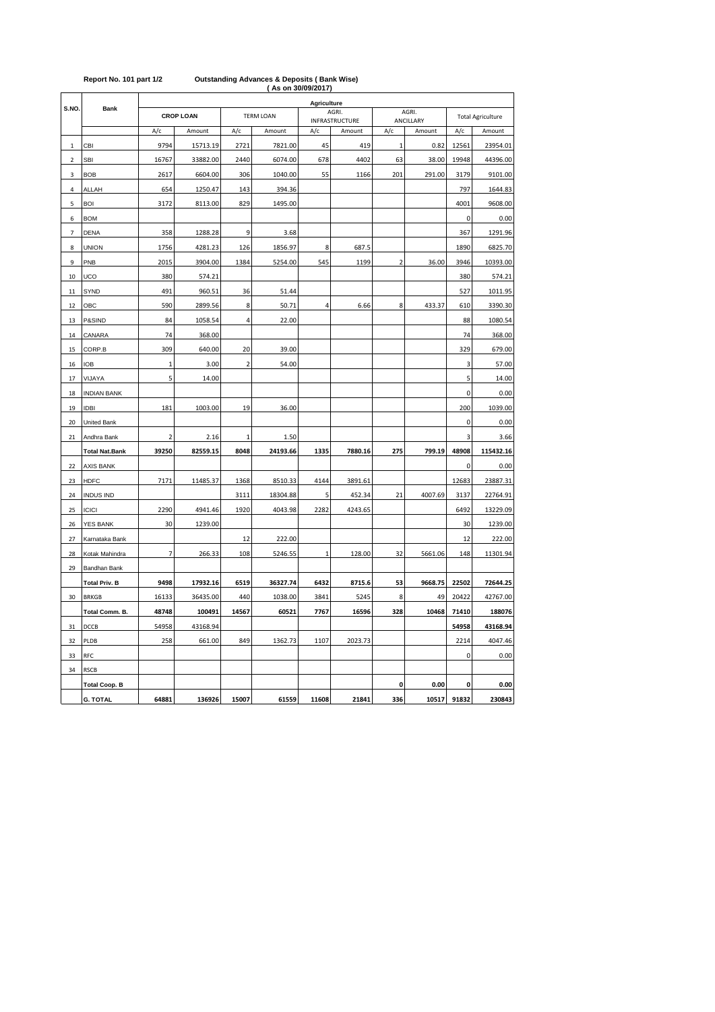| (ASON 30/09/2017)<br><b>Agriculture</b> |                       |                  |                      |                |                    |             |                |                |                     |             |                          |
|-----------------------------------------|-----------------------|------------------|----------------------|----------------|--------------------|-------------|----------------|----------------|---------------------|-------------|--------------------------|
| S.NO.                                   | <b>Bank</b>           | <b>CROP LOAN</b> |                      |                | <b>TERM LOAN</b>   |             | AGRI.          |                | AGRI.               |             | <b>Total Agriculture</b> |
|                                         |                       | A/c              | Amount               | A/c            | Amount             | A/c         | INFRASTRUCTURE | A/c            | ANCILLARY<br>Amount | A/c         |                          |
|                                         | CBI                   | 9794             |                      |                |                    | 45          | Amount         | $\mathbf 1$    | 0.82                | 12561       | Amount                   |
| $\mathbf{1}$                            | <b>SBI</b>            | 16767            | 15713.19<br>33882.00 | 2721<br>2440   | 7821.00<br>6074.00 | 678         | 419<br>4402    | 63             | 38.00               | 19948       | 23954.01                 |
| $\overline{2}$                          |                       |                  |                      |                |                    |             |                |                |                     |             | 44396.00                 |
| 3                                       | <b>BOB</b>            | 2617             | 6604.00              | 306            | 1040.00            | 55          | 1166           | 201            | 291.00              | 3179        | 9101.00                  |
| 4                                       | ALLAH                 | 654              | 1250.47              | 143            | 394.36             |             |                |                |                     | 797         | 1644.83                  |
| 5                                       | <b>BOI</b>            | 3172             | 8113.00              | 829            | 1495.00            |             |                |                |                     | 4001        | 9608.00                  |
| 6                                       | <b>BOM</b>            |                  |                      |                |                    |             |                |                |                     | $\pmb{0}$   | 0.00                     |
| 7                                       | <b>DENA</b>           | 358              | 1288.28              | 9              | 3.68               |             |                |                |                     | 367         | 1291.96                  |
| 8                                       | <b>UNION</b>          | 1756             | 4281.23              | 126            | 1856.97            | 8           | 687.5          |                |                     | 1890        | 6825.70                  |
| 9                                       | PNB                   | 2015             | 3904.00              | 1384           | 5254.00            | 545         | 1199           | $\overline{2}$ | 36.00               | 3946        | 10393.00                 |
| 10                                      | UCO                   | 380              | 574.21               |                |                    |             |                |                |                     | 380         | 574.21                   |
| $11\,$                                  | SYND                  | 491              | 960.51               | 36             | 51.44              |             |                |                |                     | 527         | 1011.95                  |
| 12                                      | OBC                   | 590              | 2899.56              | 8              | 50.71              | 4           | 6.66           | 8              | 433.37              | 610         | 3390.30                  |
| 13                                      | P&SIND                | 84               | 1058.54              | 4              | 22.00              |             |                |                |                     | 88          | 1080.54                  |
| 14                                      | CANARA                | 74               | 368.00               |                |                    |             |                |                |                     | 74          | 368.00                   |
| 15                                      | CORP.B                | 309              | 640.00               | 20             | 39.00              |             |                |                |                     | 329         | 679.00                   |
| 16                                      | <b>IOB</b>            | $\overline{1}$   | 3.00                 | $\overline{2}$ | 54.00              |             |                |                |                     | 3           | 57.00                    |
| 17                                      | VIJAYA                | 5                | 14.00                |                |                    |             |                |                |                     | 5           | 14.00                    |
| 18                                      | <b>INDIAN BANK</b>    |                  |                      |                |                    |             |                |                |                     | $\mathbf 0$ | 0.00                     |
| 19                                      | <b>IDBI</b>           | 181              | 1003.00              | 19             | 36.00              |             |                |                |                     | 200         | 1039.00                  |
| 20                                      | United Bank           |                  |                      |                |                    |             |                |                |                     | 0           | 0.00                     |
| 21                                      | Andhra Bank           | $\mathbf 2$      | 2.16                 | 1              | 1.50               |             |                |                |                     | 3           | 3.66                     |
|                                         | <b>Total Nat.Bank</b> | 39250            | 82559.15             | 8048           | 24193.66           | 1335        | 7880.16        | 275            | 799.19              | 48908       | 115432.16                |
| 22                                      | AXIS BANK             |                  |                      |                |                    |             |                |                |                     | $\pmb{0}$   | 0.00                     |
| 23                                      | <b>HDFC</b>           | 7171             | 11485.37             | 1368           | 8510.33            | 4144        | 3891.61        |                |                     | 12683       | 23887.31                 |
| 24                                      | <b>INDUS IND</b>      |                  |                      | 3111           | 18304.88           | 5           | 452.34         | 21             | 4007.69             | 3137        | 22764.91                 |
| 25                                      | <b>ICICI</b>          | 2290             | 4941.46              | 1920           | 4043.98            | 2282        | 4243.65        |                |                     | 6492        | 13229.09                 |
| 26                                      | <b>YES BANK</b>       | 30               | 1239.00              |                |                    |             |                |                |                     | 30          | 1239.00                  |
| 27                                      | Karnataka Bank        |                  |                      | 12             | 222.00             |             |                |                |                     | 12          | 222.00                   |
| 28                                      | Kotak Mahindra        | 7                | 266.33               | 108            | 5246.55            | $\mathbf 1$ | 128.00         | 32             | 5661.06             | 148         | 11301.94                 |
| 29                                      | Bandhan Bank          |                  |                      |                |                    |             |                |                |                     |             |                          |
|                                         | Total Priv. B         | 9498             | 17932.16             | 6519           | 36327.74           | 6432        | 8715.6         | 53             | 9668.75             | 22502       | 72644.25                 |
| 30                                      | <b>BRKGB</b>          | 16133            | 36435.00             | 440            | 1038.00            | 3841        | 5245           | 8              | 49                  | 20422       | 42767.00                 |
|                                         | Total Comm. B.        | 48748            | 100491               | 14567          | 60521              | 7767        | 16596          | 328            | 10468               | 71410       | 188076                   |
| 31                                      | DCCB                  | 54958            | 43168.94             |                |                    |             |                |                |                     | 54958       | 43168.94                 |
| 32                                      | PLDB                  | 258              | 661.00               | 849            | 1362.73            | 1107        | 2023.73        |                |                     | 2214        | 4047.46                  |
| 33                                      | <b>RFC</b>            |                  |                      |                |                    |             |                |                |                     | $\mathbf 0$ | 0.00                     |
| 34                                      | <b>RSCB</b>           |                  |                      |                |                    |             |                |                |                     |             |                          |
|                                         | <b>Total Coop. B</b>  |                  |                      |                |                    |             |                | 0              | 0.00                | 0           | 0.00                     |
|                                         | <b>G. TOTAL</b>       | 64881            | 136926               | 15007          | 61559              | 11608       | 21841          | 336            | 10517               | 91832       | 230843                   |

#### **( As on 30/09/2017) Report No. 101 part 1/2 Outstanding Advances & Deposits ( Bank Wise)**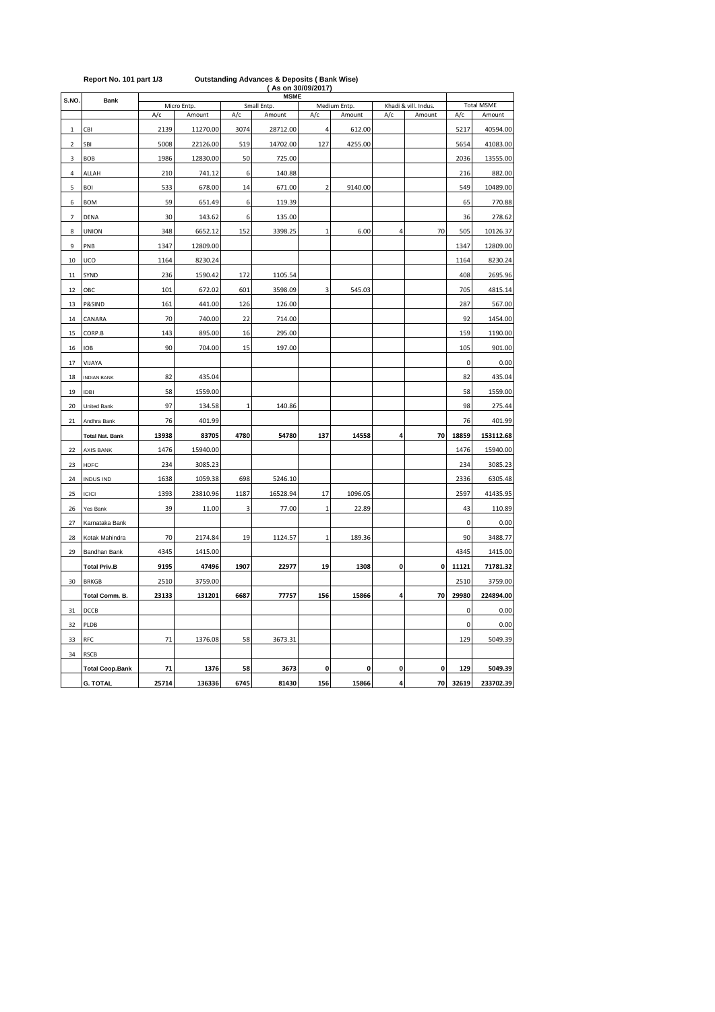| S.NO.            | Bank                   |               | Micro Entp. |             | <b>MSME</b><br>Small Entp. |                         | Medium Entp. |     | Khadi & vill. Indus. | <b>Total MSME</b> |           |  |
|------------------|------------------------|---------------|-------------|-------------|----------------------------|-------------------------|--------------|-----|----------------------|-------------------|-----------|--|
|                  |                        | A/c<br>Amount |             | A/c         | Amount                     | A/c                     | Amount       | A/c | Amount               | A/c               | Amount    |  |
| $\mathbf{1}$     | CBI                    | 2139          | 11270.00    | 3074        | 28712.00                   | 4                       | 612.00       |     |                      | 5217              | 40594.00  |  |
| $\overline{2}$   | SBI                    | 5008          | 22126.00    | 519         | 14702.00                   | 127                     | 4255.00      |     |                      | 5654              | 41083.00  |  |
| 3                | <b>BOB</b>             | 1986          | 12830.00    | 50          | 725.00                     |                         |              |     |                      | 2036              | 13555.00  |  |
| 4                | ALLAH                  | 210           | 741.12      | 6           | 140.88                     |                         |              |     |                      | 216               | 882.00    |  |
| 5                | <b>BOI</b>             | 533           | 678.00      | 14          | 671.00                     | $\overline{\mathbf{c}}$ | 9140.00      |     |                      | 549               | 10489.00  |  |
| 6                | <b>BOM</b>             | 59            | 651.49      | 6           | 119.39                     |                         |              |     |                      | 65                | 770.88    |  |
| $\boldsymbol{7}$ | DENA                   | 30            | 143.62      | 6           | 135.00                     |                         |              |     |                      | 36                | 278.62    |  |
| 8                | <b>UNION</b>           | 348           | 6652.12     | 152         | 3398.25                    | 1                       | 6.00         | 4   | 70                   | 505               | 10126.37  |  |
| 9                | PNB                    | 1347          | 12809.00    |             |                            |                         |              |     |                      | 1347              | 12809.00  |  |
| 10               | UCO                    | 1164          | 8230.24     |             |                            |                         |              |     |                      | 1164              | 8230.24   |  |
| 11               | SYND                   | 236           | 1590.42     | 172         | 1105.54                    |                         |              |     |                      | 408               | 2695.96   |  |
| 12               | OBC                    | 101           | 672.02      | 601         | 3598.09                    | 3                       | 545.03       |     |                      | 705               | 4815.14   |  |
| 13               | P&SIND                 | 161           | 441.00      | 126         | 126.00                     |                         |              |     |                      | 287               | 567.00    |  |
| 14               | CANARA                 | 70            | 740.00      | 22          | 714.00                     |                         |              |     |                      | 92                | 1454.00   |  |
| 15               | CORP.B                 | 143           | 895.00      | 16          | 295.00                     |                         |              |     |                      | 159               | 1190.00   |  |
| 16               | <b>IOB</b>             | 90            | 704.00      | 15          | 197.00                     |                         |              |     |                      | 105               | 901.00    |  |
| 17               | VIJAYA                 |               |             |             |                            |                         |              |     |                      | $\mathbf 0$       | 0.00      |  |
| 18               | <b>INDIAN BANK</b>     | 82            | 435.04      |             |                            |                         |              |     |                      | 82                | 435.04    |  |
| 19               | <b>IDBI</b>            | 58            | 1559.00     |             |                            |                         |              |     |                      | 58                | 1559.00   |  |
| 20               | <b>United Bank</b>     | 97            | 134.58      | $\mathbf 1$ | 140.86                     |                         |              |     |                      | 98                | 275.44    |  |
| 21               | Andhra Bank            | 76            | 401.99      |             |                            |                         |              |     |                      | 76                | 401.99    |  |
|                  | <b>Total Nat. Bank</b> | 13938         | 83705       | 4780        | 54780                      | 137                     | 14558        | 4   | 70                   | 18859             | 153112.68 |  |
| 22               | <b>AXIS BANK</b>       | 1476          | 15940.00    |             |                            |                         |              |     |                      | 1476              | 15940.00  |  |
| 23               | <b>HDFC</b>            | 234           | 3085.23     |             |                            |                         |              |     |                      | 234               | 3085.23   |  |
| 24               | <b>INDUS IND</b>       | 1638          | 1059.38     | 698         | 5246.10                    |                         |              |     |                      | 2336              | 6305.48   |  |
| 25               | <b>ICICI</b>           | 1393          | 23810.96    | 1187        | 16528.94                   | 17                      | 1096.05      |     |                      | 2597              | 41435.95  |  |
| 26               | Yes Bank               | 39            | 11.00       | 3           | 77.00                      | $\mathbf 1$             | 22.89        |     |                      | 43                | 110.89    |  |
| 27               | Karnataka Bank         |               |             |             |                            |                         |              |     |                      | $\pmb{0}$         | 0.00      |  |
| 28               | Kotak Mahindra         | 70            | 2174.84     | 19          | 1124.57                    | 1                       | 189.36       |     |                      | 90                | 3488.77   |  |
| 29               | Bandhan Bank           | 4345          | 1415.00     |             |                            |                         |              |     |                      | 4345              | 1415.00   |  |
|                  | <b>Total Priv.B</b>    | 9195          | 47496       | 1907        | 22977                      | 19                      | 1308         | 0   | 0                    | 11121             | 71781.32  |  |
| 30               | <b>BRKGB</b>           | 2510          | 3759.00     |             |                            |                         |              |     |                      | 2510              | 3759.00   |  |
|                  | Total Comm. B.         | 23133         | 131201      | 6687        | 77757                      | 156                     | 15866        | 4   | 70                   | 29980             | 224894.00 |  |
| 31               | DCCB                   |               |             |             |                            |                         |              |     |                      | $\mathbf 0$       | 0.00      |  |
| 32               | PLDB                   |               |             |             |                            |                         |              |     |                      | $\mathbf 0$       | 0.00      |  |
| 33               | <b>RFC</b>             | 71            | 1376.08     | 58          | 3673.31                    |                         |              |     |                      | 129               | 5049.39   |  |
| 34               | <b>RSCB</b>            |               |             |             |                            |                         |              |     |                      |                   |           |  |
|                  | <b>Total Coop.Bank</b> | 71            | 1376        | 58          | 3673                       | 0                       | 0            | 0   | 0                    | 129               | 5049.39   |  |
|                  | <b>G. TOTAL</b>        | 25714         | 136336      | 6745        | 81430                      | 156                     | 15866        | 4   | 70                   | 32619             | 233702.39 |  |

### **Report No. 101 part 1/3 Outstanding Advances & Deposits ( Bank Wise) ( As on 30/09/2017)**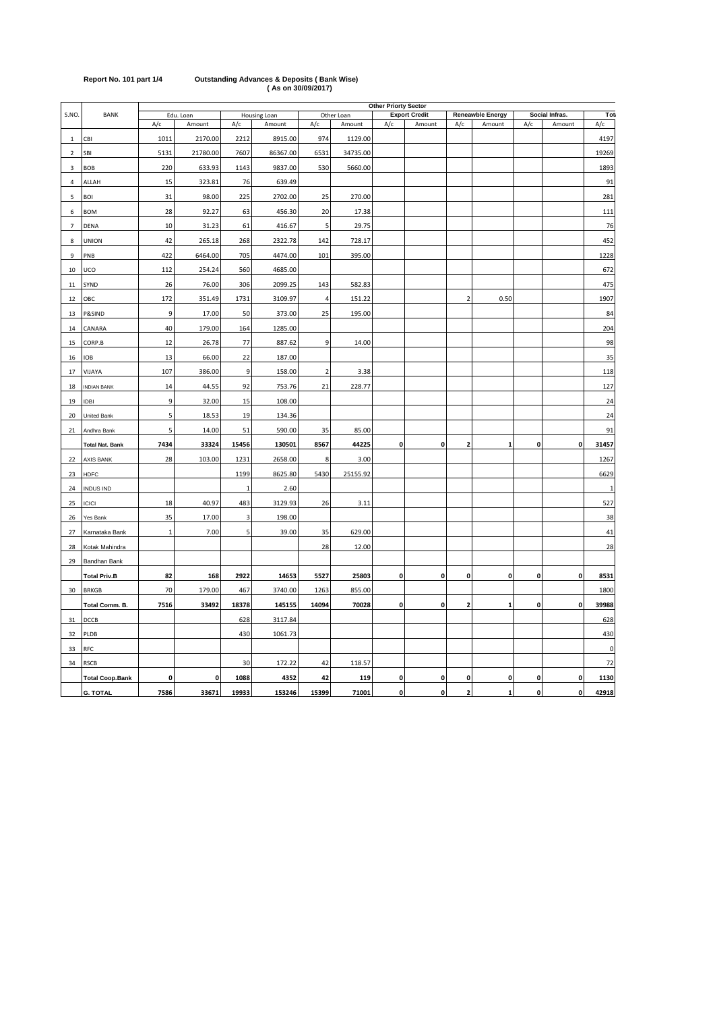|                | <b>Other Priorty Sector</b> |             |              |       |              |                                    |          |              |             |                         |              |                |              |              |
|----------------|-----------------------------|-------------|--------------|-------|--------------|------------------------------------|----------|--------------|-------------|-------------------------|--------------|----------------|--------------|--------------|
| S.NO.          | <b>BANK</b>                 |             | Edu. Loan    |       | Housing Loan | Other Loan<br><b>Export Credit</b> |          |              |             | <b>Reneawble Energy</b> |              | Social Infras. | Tot          |              |
|                |                             | A/c         | Amount       | A/c   | Amount       | A/c                                | Amount   | A/c          | Amount      | A/c                     | Amount       | A/c            | Amount       | A/c          |
| $\,1\,$        | CBI                         | 1011        | 2170.00      | 2212  | 8915.00      | 974                                | 1129.00  |              |             |                         |              |                |              | 4197         |
| $\overline{2}$ | SBI                         | 5131        | 21780.00     | 7607  | 86367.00     | 6531                               | 34735.00 |              |             |                         |              |                |              | 19269        |
| 3              | <b>BOB</b>                  | 220         | 633.93       | 1143  | 9837.00      | 530                                | 5660.00  |              |             |                         |              |                |              | 1893         |
| 4              | ALLAH                       | 15          | 323.81       | 76    | 639.49       |                                    |          |              |             |                         |              |                |              | 91           |
| 5              | <b>BOI</b>                  | 31          | 98.00        | 225   | 2702.00      | 25                                 | 270.00   |              |             |                         |              |                |              | 281          |
| 6              | <b>BOM</b>                  | 28          | 92.27        | 63    | 456.30       | 20                                 | 17.38    |              |             |                         |              |                |              | 111          |
| $\overline{7}$ | <b>DENA</b>                 | 10          | 31.23        | 61    | 416.67       | 5                                  | 29.75    |              |             |                         |              |                |              | 76           |
| 8              | <b>UNION</b>                | 42          | 265.18       | 268   | 2322.78      | 142                                | 728.17   |              |             |                         |              |                |              | 452          |
| 9              | PNB                         | 422         | 6464.00      | 705   | 4474.00      | 101                                | 395.00   |              |             |                         |              |                |              | 1228         |
| 10             | <b>UCO</b>                  | 112         | 254.24       | 560   | 4685.00      |                                    |          |              |             |                         |              |                |              | 672          |
| $11\,$         | SYND                        | 26          | 76.00        | 306   | 2099.25      | 143                                | 582.83   |              |             |                         |              |                |              | 475          |
| 12             | ОВС                         | 172         | 351.49       | 1731  | 3109.97      | $\overline{4}$                     | 151.22   |              |             | $\overline{2}$          | 0.50         |                |              | 1907         |
| 13             | P&SIND                      | 9           | 17.00        | 50    | 373.00       | 25                                 | 195.00   |              |             |                         |              |                |              | 84           |
| 14             | CANARA                      | 40          | 179.00       | 164   | 1285.00      |                                    |          |              |             |                         |              |                |              | 204          |
| 15             | CORP.B                      | 12          | 26.78        | 77    | 887.62       | 9                                  | 14.00    |              |             |                         |              |                |              | 98           |
| 16             | IOB                         | 13          | 66.00        | 22    | 187.00       |                                    |          |              |             |                         |              |                |              | 35           |
| 17             | VIJAYA                      | 107         | 386.00       | 9     | 158.00       | $\overline{2}$                     | 3.38     |              |             |                         |              |                |              | 118          |
| 18             | <b>INDIAN BANK</b>          | 14          | 44.55        | 92    | 753.76       | 21                                 | 228.77   |              |             |                         |              |                |              | 127          |
| 19             | IDBI                        | 9           | 32.00        | 15    | 108.00       |                                    |          |              |             |                         |              |                |              | 24           |
| 20             | United Bank                 | 5           | 18.53        | 19    | 134.36       |                                    |          |              |             |                         |              |                |              | 24           |
| 21             | Andhra Bank                 | 5           | 14.00        | 51    | 590.00       | 35                                 | 85.00    |              |             |                         |              |                |              | 91           |
|                | <b>Total Nat. Bank</b>      | 7434        | 33324        | 15456 | 130501       | 8567                               | 44225    | $\mathbf 0$  | $\mathbf 0$ | $\overline{\mathbf{2}}$ | $\mathbf{1}$ | 0              | $\mathbf 0$  | 31457        |
| 22             | AXIS BANK                   | 28          | 103.00       | 1231  | 2658.00      | 8                                  | 3.00     |              |             |                         |              |                |              | 1267         |
| 23             | HDFC                        |             |              | 1199  | 8625.80      | 5430                               | 25155.92 |              |             |                         |              |                |              | 6629         |
| 24             | <b>INDUS IND</b>            |             |              |       | 2.60         |                                    |          |              |             |                         |              |                |              | $\mathbf{1}$ |
| 25             | <b>ICICI</b>                | 18          | 40.97        | 483   | 3129.93      | 26                                 | 3.11     |              |             |                         |              |                |              | 527          |
| 26             | Yes Bank                    | 35          | 17.00        | 3     | 198.00       |                                    |          |              |             |                         |              |                |              | 38           |
| 27             | Karnataka Bank              | $\mathbf 1$ | 7.00         | 5     | 39.00        | 35                                 | 629.00   |              |             |                         |              |                |              | 41           |
| 28             | Kotak Mahindra              |             |              |       |              | 28                                 | 12.00    |              |             |                         |              |                |              | 28           |
| 29             | Bandhan Bank                |             |              |       |              |                                    |          |              |             |                         |              |                |              |              |
|                | <b>Total Priv.B</b>         | 82          | 168          | 2922  | 14653        | 5527                               | 25803    | $\mathbf 0$  | $\mathbf 0$ | $\mathbf{0}$            | $\mathbf{0}$ | 0              | $\mathbf 0$  | 8531         |
| 30             | <b>BRKGB</b>                | 70          | 179.00       | 467   | 3740.00      | 1263                               | 855.00   |              |             |                         |              |                |              | 1800         |
|                | Total Comm. B.              | 7516        | 33492        | 18378 | 145155       | 14094                              | 70028    | $\mathbf 0$  | $\mathbf 0$ | $\overline{\mathbf{2}}$ | 1            | $\mathbf{0}$   | $\mathbf 0$  | 39988        |
| 31             | DCCB                        |             |              | 628   | 3117.84      |                                    |          |              |             |                         |              |                |              | 628          |
| 32             | PLDB                        |             |              | 430   | 1061.73      |                                    |          |              |             |                         |              |                |              | 430          |
| 33             | <b>RFC</b>                  |             |              |       |              |                                    |          |              |             |                         |              |                |              | $\pmb{0}$    |
| 34             | <b>RSCB</b>                 |             |              | 30    | 172.22       | 42                                 | 118.57   |              |             |                         |              |                |              | 72           |
|                | <b>Total Coop.Bank</b>      | 0           | $\mathbf{0}$ | 1088  | 4352         | 42                                 | 119      | 0            | 0           | 0                       | 0            | $\mathbf{0}$   | $\mathbf 0$  | 1130         |
|                | <b>G. TOTAL</b>             | 7586        | 33671        | 19933 | 153246       | 15399                              | 71001    | $\mathbf{o}$ | 0           | $\overline{\mathbf{2}}$ | $\mathbf{1}$ | 0              | $\mathbf{0}$ | 42918        |

## **Report No. 101 part 1/4 Outstanding Advances & Deposits ( Bank Wise) ( As on 30/09/2017)**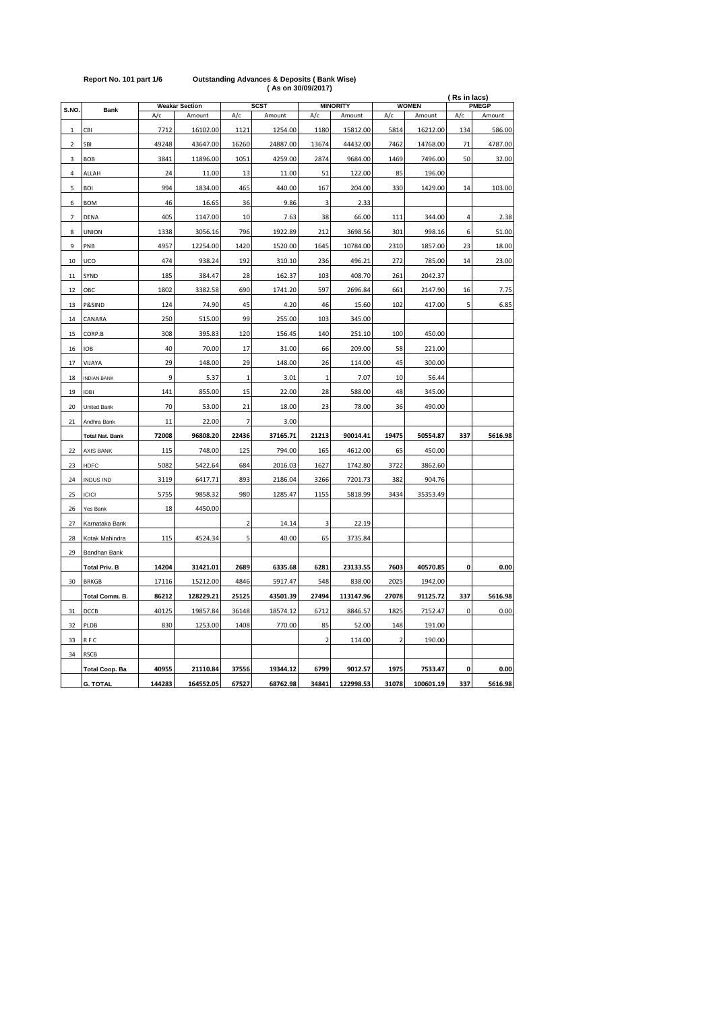|                |                        |               |                                 |                              |          |                | (Rs in lacs)<br><b>WOMEN</b><br><b>PMEGP</b> |                |           |           |         |
|----------------|------------------------|---------------|---------------------------------|------------------------------|----------|----------------|----------------------------------------------|----------------|-----------|-----------|---------|
| S.NO.          | <b>Bank</b>            | A/c           | <b>Weakar Section</b><br>Amount | <b>SCST</b><br>A/c<br>Amount |          | A/c            | <b>MINORITY</b><br>Amount                    | A/c            | Amount    | A/c       | Amount  |
|                |                        |               |                                 |                              |          |                |                                              |                |           |           |         |
| $\mathbf 1$    | CBI                    | 7712<br>49248 | 16102.00                        | 1121                         | 1254.00  | 1180           | 15812.00                                     | 5814<br>7462   | 16212.00  | 134<br>71 | 586.00  |
| $\overline{2}$ | SBI                    |               | 43647.00                        | 16260                        | 24887.00 | 13674          | 44432.00                                     |                | 14768.00  |           | 4787.00 |
| 3              | <b>BOB</b>             | 3841          | 11896.00                        | 1051                         | 4259.00  | 2874           | 9684.00                                      | 1469           | 7496.00   | 50        | 32.00   |
| 4              | ALLAH                  | 24            | 11.00                           | 13                           | 11.00    | 51             | 122.00                                       | 85             | 196.00    |           |         |
| 5              | <b>BOI</b>             | 994           | 1834.00                         | 465                          | 440.00   | 167            | 204.00                                       | 330            | 1429.00   | 14        | 103.00  |
| 6              | <b>BOM</b>             | 46            | 16.65                           | 36                           | 9.86     | 3              | 2.33                                         |                |           |           |         |
| 7              | DENA                   | 405           | 1147.00                         | 10                           | 7.63     | 38             | 66.00                                        | 111            | 344.00    | 4         | 2.38    |
| 8              | <b>UNION</b>           | 1338          | 3056.16                         | 796                          | 1922.89  | 212            | 3698.56                                      | 301            | 998.16    | 6         | 51.00   |
| 9              | PNB                    | 4957          | 12254.00                        | 1420                         | 1520.00  | 1645           | 10784.00                                     | 2310           | 1857.00   | 23        | 18.00   |
| 10             | UCO                    | 474           | 938.24                          | 192                          | 310.10   | 236            | 496.21                                       | 272            | 785.00    | 14        | 23.00   |
| 11             | SYND                   | 185           | 384.47                          | 28                           | 162.37   | 103            | 408.70                                       | 261            | 2042.37   |           |         |
| 12             | ОВС                    | 1802          | 3382.58                         | 690                          | 1741.20  | 597            | 2696.84                                      | 661            | 2147.90   | 16        | 7.75    |
| 13             | P&SIND                 | 124           | 74.90                           | 45                           | 4.20     | 46             | 15.60                                        | 102            | 417.00    | 5         | 6.85    |
| 14             | CANARA                 | 250           | 515.00                          | 99                           | 255.00   | 103            | 345.00                                       |                |           |           |         |
| 15             | CORP.B                 | 308           | 395.83                          | 120                          | 156.45   | 140            | 251.10                                       | 100            | 450.00    |           |         |
| 16             | <b>IOB</b>             | 40            | 70.00                           | 17                           | 31.00    | 66             | 209.00                                       | 58             | 221.00    |           |         |
| 17             | VIJAYA                 | 29            | 148.00                          | 29                           | 148.00   | 26             | 114.00                                       | 45             | 300.00    |           |         |
| 18             | <b>INDIAN BANK</b>     | 9             | 5.37                            | $\,1\,$                      | 3.01     | $\mathbf{1}$   | 7.07                                         | 10             | 56.44     |           |         |
| 19             | <b>IDBI</b>            | 141           | 855.00                          | 15                           |          | 28             | 588.00                                       | 48             | 345.00    |           |         |
|                |                        |               |                                 |                              | 22.00    |                |                                              |                |           |           |         |
| 20             | <b>United Bank</b>     | 70            | 53.00                           | 21                           | 18.00    | 23             | 78.00                                        | 36             | 490.00    |           |         |
| 21             | Andhra Bank            | 11            | 22.00                           | 7                            | 3.00     |                |                                              |                |           |           |         |
|                | <b>Total Nat. Bank</b> | 72008         | 96808.20                        | 22436                        | 37165.71 | 21213          | 90014.41                                     | 19475          | 50554.87  | 337       | 5616.98 |
| 22             | <b>AXIS BANK</b>       | 115           | 748.00                          | 125                          | 794.00   | 165            | 4612.00                                      | 65             | 450.00    |           |         |
| 23             | <b>HDFC</b>            | 5082          | 5422.64                         | 684                          | 2016.03  | 1627           | 1742.80                                      | 3722           | 3862.60   |           |         |
| 24             | <b>INDUS IND</b>       | 3119          | 6417.71                         | 893                          | 2186.04  | 3266           | 7201.73                                      | 382            | 904.76    |           |         |
| 25             | <b>ICICI</b>           | 5755          | 9858.32                         | 980                          | 1285.47  | 1155           | 5818.99                                      | 3434           | 35353.49  |           |         |
| 26             | Yes Bank               | 18            | 4450.00                         |                              |          |                |                                              |                |           |           |         |
| 27             | Karnataka Bank         |               |                                 | $\overline{2}$               | 14.14    | 3              | 22.19                                        |                |           |           |         |
| 28             | Kotak Mahindra         | 115           | 4524.34                         | 5                            | 40.00    | 65             | 3735.84                                      |                |           |           |         |
| 29             | Bandhan Bank           |               |                                 |                              |          |                |                                              |                |           |           |         |
|                | <b>Total Priv. B</b>   | 14204         | 31421.01                        | 2689                         | 6335.68  | 6281           | 23133.55                                     | 7603           | 40570.85  | 0         | 0.00    |
| 30             | <b>BRKGB</b>           | 17116         | 15212.00                        | 4846                         | 5917.47  | 548            | 838.00                                       | 2025           | 1942.00   |           |         |
|                | Total Comm. B.         | 86212         | 128229.21                       | 25125                        | 43501.39 | 27494          | 113147.96                                    | 27078          | 91125.72  | 337       | 5616.98 |
| 31             | DCCB                   | 40125         | 19857.84                        | 36148                        | 18574.12 | 6712           | 8846.57                                      | 1825           | 7152.47   | 0         | 0.00    |
| 32             | PLDB                   | 830           | 1253.00                         | 1408                         | 770.00   | 85             | 52.00                                        | 148            | 191.00    |           |         |
| 33             | RFC                    |               |                                 |                              |          | $\overline{2}$ | 114.00                                       | $\overline{2}$ | 190.00    |           |         |
| 34             | <b>RSCB</b>            |               |                                 |                              |          |                |                                              |                |           |           |         |
|                | <b>Total Coop. Ba</b>  | 40955         | 21110.84                        | 37556                        | 19344.12 | 6799           | 9012.57                                      | 1975           | 7533.47   | 0         | 0.00    |
|                | <b>G. TOTAL</b>        | 144283        | 164552.05                       | 67527                        | 68762.98 | 34841          | 122998.53                                    | 31078          | 100601.19 | 337       | 5616.98 |

### **Report No. 101 part 1/6 Outstanding Advances & Deposits ( Bank Wise) ( As on 30/09/2017)**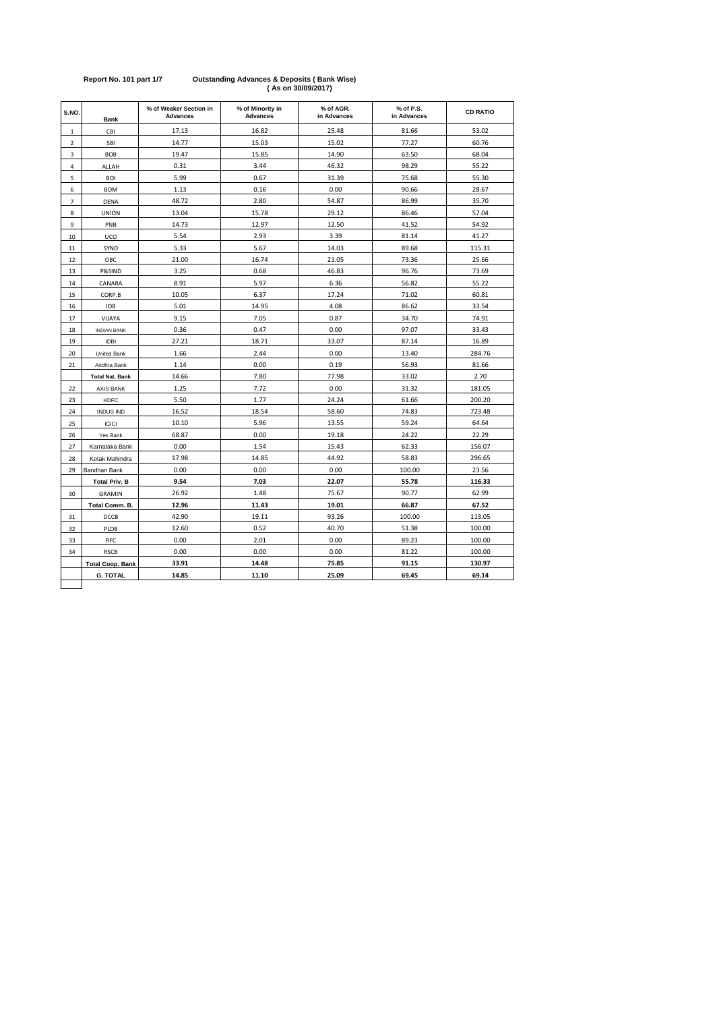| S.NO.          | <b>Bank</b>             | % of Weaker Section in<br><b>Advances</b> | % of Minority in<br><b>Advances</b> | % of AGR.<br>in Advances | % of P.S.<br>in Advances | <b>CD RATIO</b> |
|----------------|-------------------------|-------------------------------------------|-------------------------------------|--------------------------|--------------------------|-----------------|
| $\,1$          | CBI                     | 17.13                                     | 16.82                               | 25.48                    | 81.66                    | 53.02           |
| $\overline{2}$ | SBI                     | 14.77                                     | 15.03                               | 15.02                    | 77.27                    | 60.76           |
| 3              | <b>BOB</b>              | 19.47                                     | 15.85                               | 14.90                    | 63.50                    | 68.04           |
| 4              | ALLAH                   | 0.31                                      | 3.44                                | 46.32                    | 98.29                    | 55.22           |
| 5              | <b>BOI</b>              | 5.99                                      | 0.67                                | 31.39                    | 75.68                    | 55.30           |
| 6              | <b>BOM</b>              | 1.13                                      | 0.16                                | 0.00                     | 90.66                    | 28.67           |
| $\overline{7}$ | <b>DENA</b>             | 48.72                                     | 2.80                                | 54.87                    | 86.99                    | 35.70           |
| 8              | <b>UNION</b>            | 13.04                                     | 15.78                               | 29.12                    | 86.46                    | 57.04           |
| 9              | PNB                     | 14.73                                     | 12.97                               | 12.50                    | 41.52                    | 54.92           |
| 10             | UCO                     | 5.54                                      | 2.93                                | 3.39                     | 81.14                    | 41.27           |
| 11             | SYND                    | 5.33                                      | 5.67                                | 14.03                    | 89.68                    | 115.31          |
| 12             | ОВС                     | 21.00                                     | 16.74                               | 21.05                    | 73.36                    | 25.66           |
| 13             | P&SIND                  | 3.25                                      | 0.68                                | 46.83                    | 96.76                    | 73.69           |
| 14             | CANARA                  | 8.91                                      | 5.97                                | 6.36                     | 56.82                    | 55.22           |
| 15             | CORP.B                  | 10.05                                     | 6.37                                | 17.24                    | 71.02                    | 60.81           |
| 16             | <b>IOB</b>              | 5.01                                      | 14.95                               | 4.08                     | 86.62                    | 33.54           |
| 17             | VIJAYA                  | 9.15                                      | 7.05                                | 0.87                     | 34.70                    | 74.91           |
| 18             | <b>INDIAN BANK</b>      | 0.36                                      | 0.47                                | 0.00                     | 97.07                    | 33.43           |
| 19             | <b>IDBI</b>             | 27.21                                     | 18.71                               | 33.07                    | 87.14                    | 16.89           |
| 20             | <b>United Bank</b>      | 1.66                                      | 2.44                                | 0.00                     | 13.40                    | 284.76          |
| 21             | Andhra Bank             | 1.14                                      | 0.00                                | 0.19                     | 56.93                    | 81.66           |
|                | <b>Total Nat. Bank</b>  | 14.66                                     | 7.80                                | 77.98                    | 33.02                    | 2.70            |
| 22             | <b>AXIS BANK</b>        | 1.25                                      | 7.72                                | 0.00                     | 31.32                    | 181.05          |
| 23             | <b>HDFC</b>             | 5.50                                      | 1.77                                | 24.24                    | 61.66                    | 200.20          |
| 24             | <b>INDUS IND</b>        | 16.52                                     | 18.54                               | 58.60                    | 74.83                    | 723.48          |
| 25             | <b>ICICI</b>            | 10.10                                     | 5.96                                | 13.55                    | 59.24                    | 64.64           |
| 26             | Yes Bank                | 68.87                                     | 0.00                                | 19.18                    | 24.22                    | 22.29           |
| 27             | Karnataka Bank          | 0.00                                      | 1.54                                | 15.43                    | 62.33                    | 156.07          |
| 28             | Kotak Mahindra          | 17.98                                     | 14.85                               | 44.92                    | 58.83                    | 296.65          |
| 29             | Bandhan Bank            | 0.00                                      | 0.00                                | 0.00                     | 100.00                   | 23.56           |
|                | <b>Total Priv. B</b>    | 9.54                                      | 7.03                                | 22.07                    | 55.78                    | 116.33          |
| 30             | <b>GRAMIN</b>           | 26.92                                     | 1.48                                | 75.67                    | 90.77                    | 62.99           |
|                | Total Comm. B.          | 12.96                                     | 11.43                               | 19.01                    | 66.87                    | 67.52           |
| 31             | DCCB                    | 42.90                                     | 19.11                               | 93.26                    | 100.00                   | 113.05          |
| 32             | PLDB                    | 12.60                                     | 0.52                                | 40.70                    | 51.38                    | 100.00          |
| 33             | RFC                     | 0.00                                      | 2.01                                | 0.00                     | 89.23                    | 100.00          |
| 34             | <b>RSCB</b>             | 0.00                                      | 0.00                                | 0.00                     | 81.22                    | 100.00          |
|                | <b>Total Coop. Bank</b> | 33.91                                     | 14.48                               | 75.85                    | 91.15                    | 130.97          |
|                | <b>G. TOTAL</b>         | 14.85                                     | 11.10                               | 25.09                    | 69.45                    | 69.14           |

### **Report No. 101 part 1/7 Outstanding Advances & Deposits ( Bank Wise) ( As on 30/09/2017)**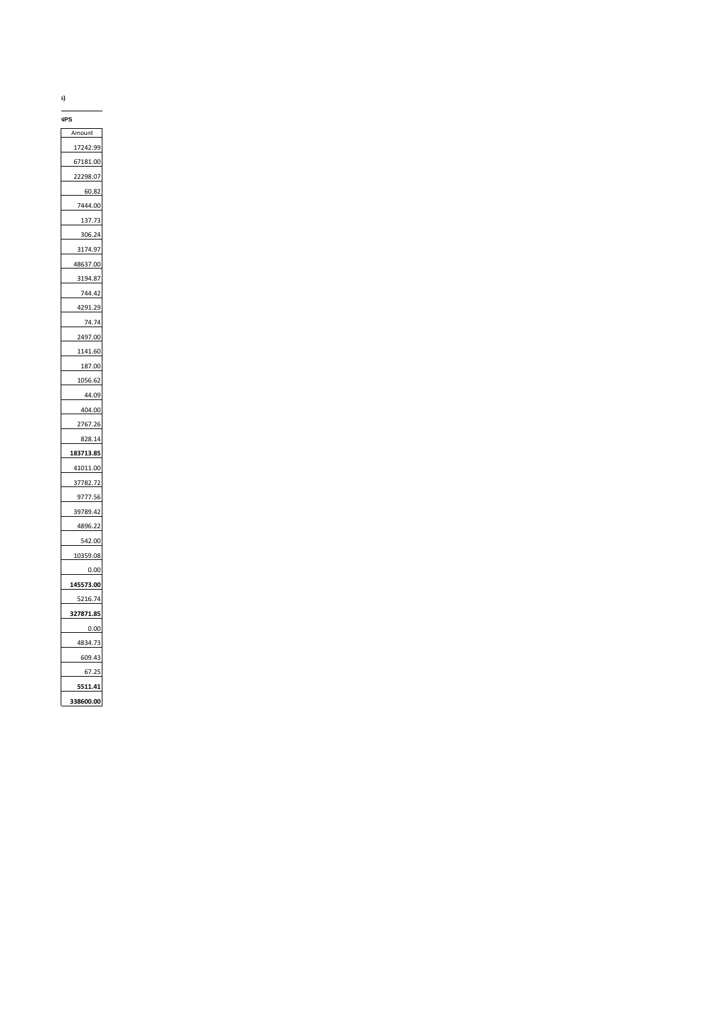**(Rs In Lacs)**

Amount 17242.99 67181.00 22298.07 60.82 7444.00 137.73 306.24 3174.97 48637.00 3194.87 744.42 4291.29 74.74 2497.00 1141.60 187.00 1056.62 44.09 404.00 2767.26 828.14 **183713.85** 41011.00 37782.72 9777.56 39789.42 4896.22 542.00 10359.08 0.00 **145573.00** 5216.74 **327871.85** 0.00 4834.73 609.43 67.25 **5511.41 338600.00 NPS**